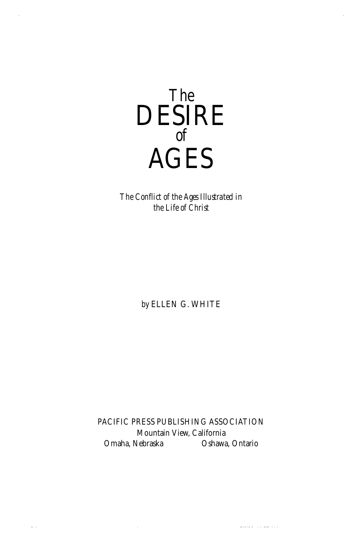

*The Conflict of the Ages Illustrated in the Life of Christ*

*by* ELLEN G. WHITE

PACIFIC PRESS PUBLISHING ASSOCIATION Mountain View, California Omaha, Nebraska Oshawa, Ontario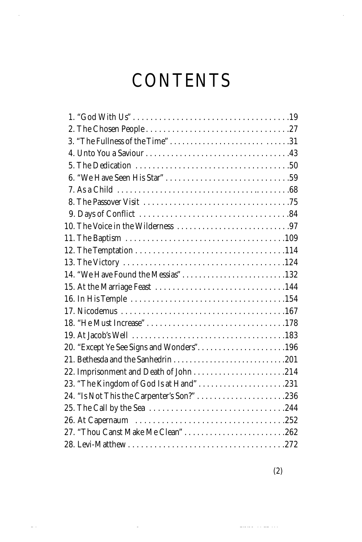## **CONTENTS**

| 3. "The Fullness of the Time"31            |
|--------------------------------------------|
|                                            |
|                                            |
|                                            |
|                                            |
|                                            |
|                                            |
|                                            |
|                                            |
|                                            |
|                                            |
| 14. "We Have Found the Messias"132         |
| 15. At the Marriage Feast 144              |
|                                            |
|                                            |
|                                            |
|                                            |
| 20. "Except Ye See Signs and Wonders"196   |
|                                            |
|                                            |
| 23. "The Kingdom of God Is at Hand" 231    |
| 24. "Is Not This the Carpenter's Son?" 236 |
|                                            |
|                                            |
| 27. "Thou Canst Make Me Clean" 262         |
|                                            |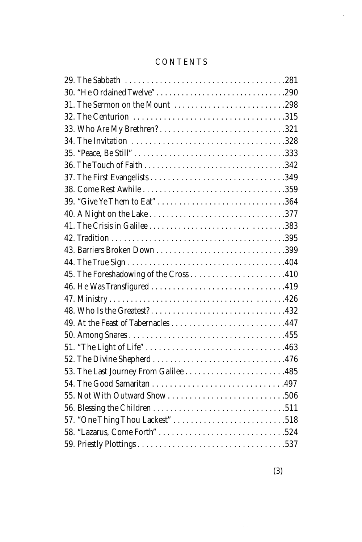#### CONTENTS

 $\hat{\mathcal{A}}$ 

| 31. The Sermon on the Mount 298 |
|---------------------------------|
|                                 |
|                                 |
|                                 |
|                                 |
|                                 |
|                                 |
|                                 |
|                                 |
|                                 |
|                                 |
|                                 |
|                                 |
|                                 |
|                                 |
|                                 |
|                                 |
|                                 |
|                                 |
|                                 |
|                                 |
|                                 |
|                                 |
|                                 |
|                                 |
|                                 |
|                                 |
|                                 |
|                                 |

÷.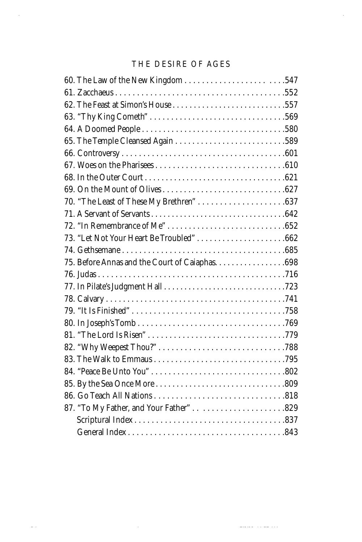$\hat{\mathbf{r}}$ 

| 70. "The Least of These My Brethren"  637 |
|-------------------------------------------|
|                                           |
|                                           |
| 73. "Let Not Your Heart Be Troubled" 662  |
|                                           |
|                                           |
|                                           |
|                                           |
|                                           |
|                                           |
|                                           |
|                                           |
|                                           |
|                                           |
|                                           |
|                                           |
|                                           |
|                                           |
|                                           |
|                                           |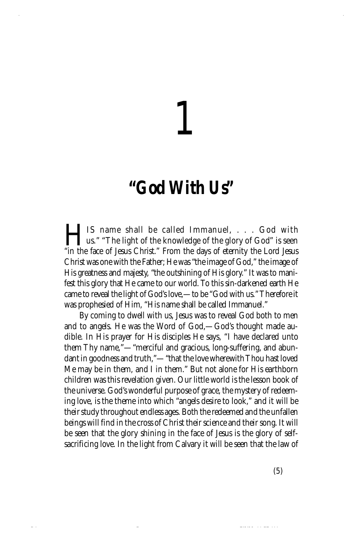# 1

### *"God With Us"*

IS name shall be called Immanuel, . . . God with us." "The light of the knowledge of the glory of God" is seen "in the face of Jesus Christ." From the days of eternity the Lord Jesus IS name shall be called Immanuel, . . . God with us." "The light of the knowledge of the glory of God" is seen Christ was one with the Father; He was "the image of God," the image of His greatness and majesty, "the outshining of His glory." It was to manifest this glory that He came to our world. To this sin-darkened earth He came to reveal the light of God's love,—to be "God with us." Therefore it was prophesied of Him, "His name shall be called Immanuel."

By coming to dwell with us, Jesus was to reveal God both to men and to angels. He was the Word of God,—God's thought made audible. In His prayer for His disciples He says, "I have declared unto them Thy name,"—"merciful and gracious, long-suffering, and abundant in goodness and truth,"—"that the love wherewith Thou hast loved Me may be in them, and I in them." But not alone for His earthborn children was this revelation given. Our little world is the lesson book of the universe. God's wonderful purpose of grace, the mystery of redeeming love, is the theme into which "angels desire to look," and it will be their study throughout endless ages. Both the redeemed and the unfallen beings will find in the cross of Christ their science and their song. It will be seen that the glory shining in the face of Jesus is the glory of selfsacrificing love. In the light from Calvary it will be seen that the law of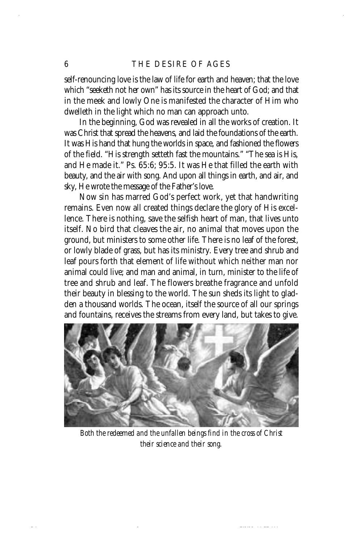self-renouncing love is the law of life for earth and heaven; that the love which "seeketh not her own" has its source in the heart of God; and that in the meek and lowly One is manifested the character of Him who dwelleth in the light which no man can approach unto.

In the beginning, God was revealed in all the works of creation. It was Christ that spread the heavens, and laid the foundations of the earth. It was His hand that hung the worlds in space, and fashioned the flowers of the field. "His strength setteth fast the mountains." "The sea is His, and He made it." Ps. 65:6; 95:5. It was He that filled the earth with beauty, and the air with song. And upon all things in earth, and air, and sky, He wrote the message of the Father's love.

Now sin has marred God's perfect work, yet that handwriting remains. Even now all created things declare the glory of His excellence. There is nothing, save the selfish heart of man, that lives unto itself. No bird that cleaves the air, no animal that moves upon the ground, but ministers to some other life. There is no leaf of the forest, or lowly blade of grass, but has its ministry. Every tree and shrub and leaf pours forth that element of life without which neither man nor animal could live; and man and animal, in turn, minister to the life of tree and shrub and leaf. The flowers breathe fragrance and unfold their beauty in blessing to the world. The sun sheds its light to gladden a thousand worlds. The ocean, itself the source of all our springs and fountains, receives the streams from every land, but takes to give.



*Both the redeemed and the unfallen beings find in the cross of Christ their science and their song.*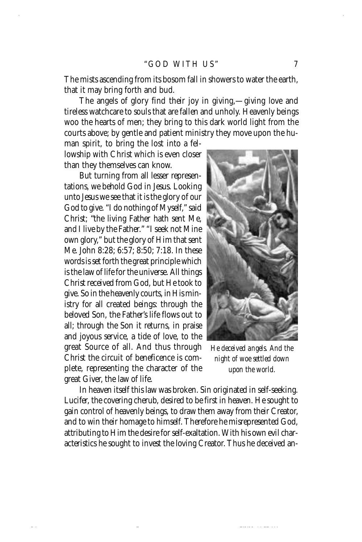The mists ascending from its bosom fall in showers to water the earth, that it may bring forth and bud.

The angels of glory find their joy in giving,—giving love and tireless watchcare to souls that are fallen and unholy. Heavenly beings woo the hearts of men; they bring to this dark world light from the courts above; by gentle and patient ministry they move upon the hu-

man spirit, to bring the lost into a fellowship with Christ which is even closer than they themselves can know.

But turning from all lesser representations, we behold God in Jesus. Looking unto Jesus we see that it is the glory of our God to give. "I do nothing of Myself," said Christ; "the living Father hath sent Me, and I live by the Father." "I seek not Mine own glory," but the glory of Him that sent Me. John 8:28; 6:57; 8:50; 7:18. In these words is set forth the great principle which is the law of life for the universe. All things Christ received from God, but He took to give. So in the heavenly courts, in His ministry for all created beings: through the beloved Son, the Father's life flows out to all; through the Son it returns, in praise and joyous service, a tide of love, to the great Source of all. And thus through Christ the circuit of beneficence is complete, representing the character of the great Giver, the law of life.



*He deceived angels. And the night of woe settled down upon the world.*

In heaven itself this law was broken. Sin originated in self-seeking. Lucifer, the covering cherub, desired to be first in heaven. He sought to gain control of heavenly beings, to draw them away from their Creator, and to win their homage to himself. Therefore he misrepresented God, attributing to Him the desire for self-exaltation. With his own evil characteristics he sought to invest the loving Creator. Thus he deceived an-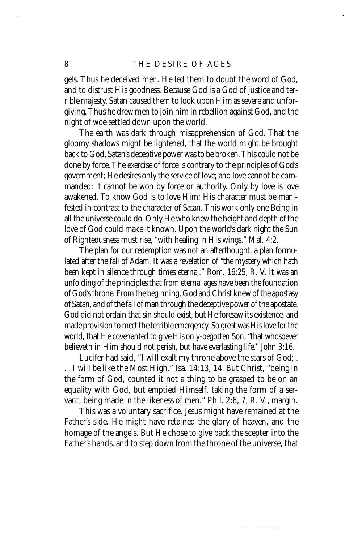gels. Thus he deceived men. He led them to doubt the word of God, and to distrust His goodness. Because God is a God of justice and terrible majesty, Satan caused them to look upon Him as severe and unforgiving. Thus he drew men to join him in rebellion against God, and the night of woe settled down upon the world.

The earth was dark through misapprehension of God. That the gloomy shadows might be lightened, that the world might be brought back to God, Satan's deceptive power was to be broken. This could not be done by force. The exercise of force is contrary to the principles of God's government; He desires only the service of love; and love cannot be commanded; it cannot be won by force or authority. Only by love is love awakened. To know God is to love Him; His character must be manifested in contrast to the character of Satan. This work only one Being in all the universe could do. Only He who knew the height and depth of the love of God could make it known. Upon the world's dark night the Sun of Righteousness must rise, "with healing in His wings." Mal. 4:2.

The plan for our redemption was not an afterthought, a plan formulated after the fall of Adam. It was a revelation of "the mystery which hath been kept in silence through times eternal." Rom. 16:25, R. V. It was an unfolding of the principles that from eternal ages have been the foundation of God's throne. From the beginning, God and Christ knew of the apostasy of Satan, and of the fall of man through the deceptive power of the apostate. God did not ordain that sin should exist, but He foresaw its existence, and made provision to meet the terrible emergency. So great was His love for the world, that He covenanted to give His only-begotten Son, "that whosoever believeth in Him should not perish, but have everlasting life." John 3:16.

Lucifer had said, "I will exalt my throne above the stars of God; . . . I will be like the Most High." Isa. 14:13, 14. But Christ, "being in the form of God, counted it not a thing to be grasped to be on an equality with God, but emptied Himself, taking the form of a servant, being made in the likeness of men." Phil. 2:6, 7, R. V., margin.

This was a voluntary sacrifice. Jesus might have remained at the Father's side. He might have retained the glory of heaven, and the homage of the angels. But He chose to give back the scepter into the Father's hands, and to step down from the throne of the universe, that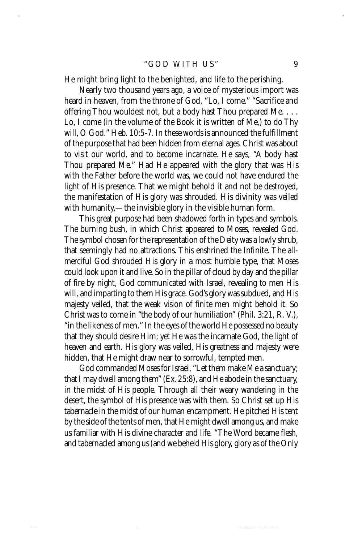#### "GOD WITH US" 9

He might bring light to the benighted, and life to the perishing.

Nearly two thousand years ago, a voice of mysterious import was heard in heaven, from the throne of God, "Lo, I come." "Sacrifice and offering Thou wouldest not, but a body hast Thou prepared Me. . . . Lo, I come (in the volume of the Book it is written of Me,) to do Thy will, O God." Heb. 10:5-7. In these words is announced the fulfillment of the purpose that had been hidden from eternal ages. Christ was about to visit our world, and to become incarnate. He says, "A body hast Thou prepared Me." Had He appeared with the glory that was His with the Father before the world was, we could not have endured the light of His presence. That we might behold it and not be destroyed, the manifestation of His glory was shrouded. His divinity was veiled with humanity,—the invisible glory in the visible human form.

This great purpose had been shadowed forth in types and symbols. The burning bush, in which Christ appeared to Moses, revealed God. The symbol chosen for the representation of the Deity was a lowly shrub, that seemingly had no attractions. This enshrined the Infinite. The allmerciful God shrouded His glory in a most humble type, that Moses could look upon it and live. So in the pillar of cloud by day and the pillar of fire by night, God communicated with Israel, revealing to men His will, and imparting to them His grace. God's glory was subdued, and His majesty veiled, that the weak vision of finite men might behold it. So Christ was to come in "the body of our humiliation" (Phil. 3:21, R. V.), "in the likeness of men." In the eyes of the world He possessed no beauty that they should desire Him; yet He was the incarnate God, the light of heaven and earth. His glory was veiled, His greatness and majesty were hidden, that He might draw near to sorrowful, tempted men.

God commanded Moses for Israel, "Let them make Me a sanctuary; that I may dwell among them" (Ex. 25:8), and He abode in the sanctuary, in the midst of His people. Through all their weary wandering in the desert, the symbol of His presence was with them. So Christ set up His tabernacle in the midst of our human encampment. He pitched His tent by the side of the tents of men, that He might dwell among us, and make us familiar with His divine character and life. "The Word became flesh, and tabernacled among us (and we beheld His glory, glory as of the Only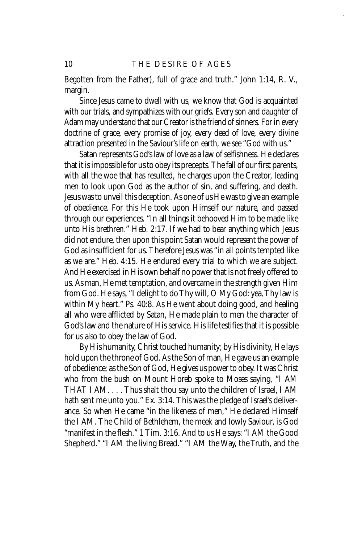Begotten from the Father), full of grace and truth." John 1:14, R. V., margin.

Since Jesus came to dwell with us, we know that God is acquainted with our trials, and sympathizes with our griefs. Every son and daughter of Adam may understand that our Creator is the friend of sinners. For in every doctrine of grace, every promise of joy, every deed of love, every divine attraction presented in the Saviour's life on earth, we see "God with us."

Satan represents God's law of love as a law of selfishness. He declares that it is impossible for us to obey its precepts. The fall of our first parents, with all the woe that has resulted, he charges upon the Creator, leading men to look upon God as the author of sin, and suffering, and death. Jesus was to unveil this deception. As one of us He was to give an example of obedience. For this He took upon Himself our nature, and passed through our experiences. "In all things it behooved Him to be made like unto His brethren." Heb. 2:17. If we had to bear anything which Jesus did not endure, then upon this point Satan would represent the power of God as insufficient for us. Therefore Jesus was "in all points tempted like as we are." Heb. 4:15. He endured every trial to which we are subject. And He exercised in His own behalf no power that is not freely offered to us. As man, He met temptation, and overcame in the strength given Him from God. He says, "I delight to do Thy will, O My God: yea, Thy law is within My heart." Ps. 40:8. As He went about doing good, and healing all who were afflicted by Satan, He made plain to men the character of God's law and the nature of His service. His life testifies that it is possible for us also to obey the law of God.

By His humanity, Christ touched humanity; by His divinity, He lays hold upon the throne of God. As the Son of man, He gave us an example of obedience; as the Son of God, He gives us power to obey. It was Christ who from the bush on Mount Horeb spoke to Moses saying, "I AM THAT I AM. . . . Thus shalt thou say unto the children of Israel, I AM hath sent me unto you." Ex. 3:14. This was the pledge of Israel's deliverance. So when He came "in the likeness of men," He declared Himself the I AM. The Child of Bethlehem, the meek and lowly Saviour, is God "manifest in the flesh." 1 Tim. 3:16. And to us He says: "I AM the Good Shepherd." "I AM the living Bread." "I AM the Way, the Truth, and the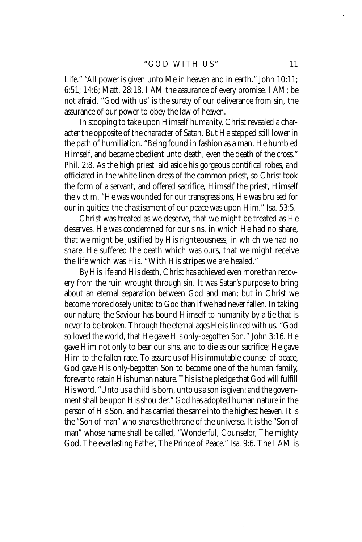#### "GOD WITH US" 11

Life." "All power is given unto Me in heaven and in earth." John 10:11; 6:51; 14:6; Matt. 28:18. I AM the assurance of every promise. I AM; be not afraid. "God with us" is the surety of our deliverance from sin, the assurance of our power to obey the law of heaven.

In stooping to take upon Himself humanity, Christ revealed a character the opposite of the character of Satan. But He stepped still lower in the path of humiliation. "Being found in fashion as a man, He humbled Himself, and became obedient unto death, even the death of the cross." Phil. 2:8. As the high priest laid aside his gorgeous pontifical robes, and officiated in the white linen dress of the common priest, so Christ took the form of a servant, and offered sacrifice, Himself the priest, Himself the victim. "He was wounded for our transgressions, He was bruised for our iniquities: the chastisement of our peace was upon Him." Isa. 53:5.

Christ was treated as we deserve, that we might be treated as He deserves. He was condemned for our sins, in which He had no share, that we might be justified by His righteousness, in which we had no share. He suffered the death which was ours, that we might receive the life which was His. "With His stripes we are healed."

By His life and His death, Christ has achieved even more than recovery from the ruin wrought through sin. It was Satan's purpose to bring about an eternal separation between God and man; but in Christ we become more closely united to God than if we had never fallen. In taking our nature, the Saviour has bound Himself to humanity by a tie that is never to be broken. Through the eternal ages He is linked with us. "God so loved the world, that He gave His only-begotten Son." John 3:16. He gave Him not only to bear our sins, and to die as our sacrifice; He gave Him to the fallen race. To assure us of His immutable counsel of peace, God gave His only-begotten Son to become one of the human family, forever to retain His human nature. This is the pledge that God will fulfill His word. "Unto us a child is born, unto us a son is given: and the government shall be upon His shoulder." God has adopted human nature in the person of His Son, and has carried the same into the highest heaven. It is the "Son of man" who shares the throne of the universe. It is the "Son of man" whose name shall be called, "Wonderful, Counselor, The mighty God, The everlasting Father, The Prince of Peace." Isa. 9:6. The I AM is